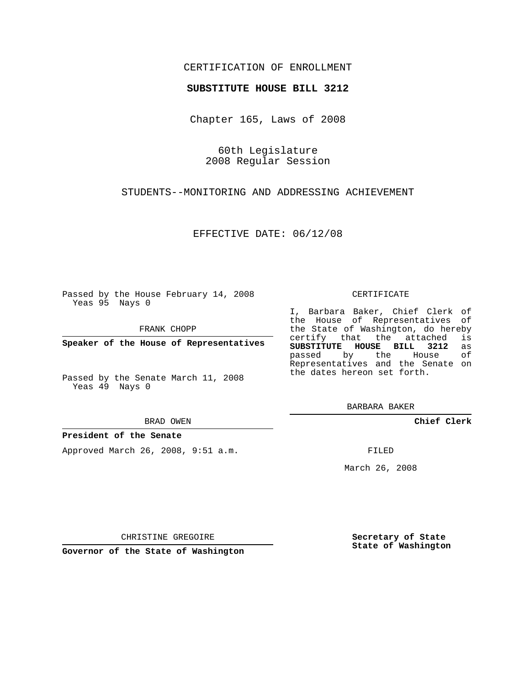## CERTIFICATION OF ENROLLMENT

## **SUBSTITUTE HOUSE BILL 3212**

Chapter 165, Laws of 2008

60th Legislature 2008 Regular Session

STUDENTS--MONITORING AND ADDRESSING ACHIEVEMENT

EFFECTIVE DATE: 06/12/08

Passed by the House February 14, 2008 Yeas 95 Nays 0

FRANK CHOPP

**Speaker of the House of Representatives**

Passed by the Senate March 11, 2008 Yeas 49 Nays 0

BRAD OWEN

## **President of the Senate**

Approved March 26, 2008, 9:51 a.m.

CERTIFICATE

I, Barbara Baker, Chief Clerk of the House of Representatives of the State of Washington, do hereby<br>certify that the attached is certify that the attached **SUBSTITUTE HOUSE BILL 3212** as passed by the House Representatives and the Senate on the dates hereon set forth.

BARBARA BAKER

**Chief Clerk**

FILED

March 26, 2008

CHRISTINE GREGOIRE

**Governor of the State of Washington**

**Secretary of State State of Washington**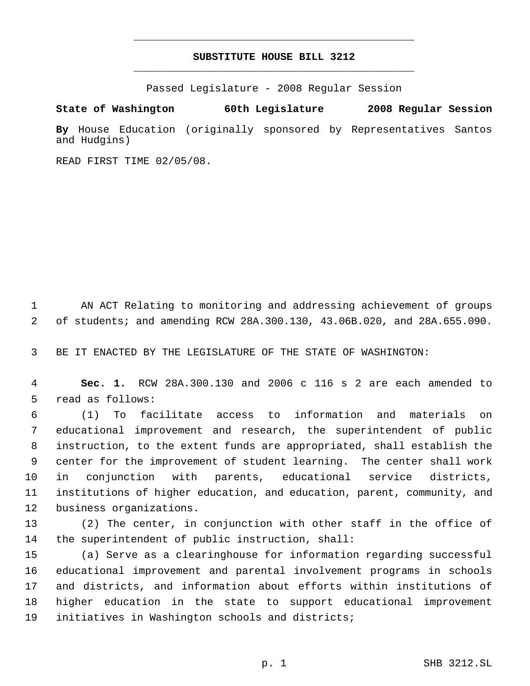## **SUBSTITUTE HOUSE BILL 3212** \_\_\_\_\_\_\_\_\_\_\_\_\_\_\_\_\_\_\_\_\_\_\_\_\_\_\_\_\_\_\_\_\_\_\_\_\_\_\_\_\_\_\_\_\_

\_\_\_\_\_\_\_\_\_\_\_\_\_\_\_\_\_\_\_\_\_\_\_\_\_\_\_\_\_\_\_\_\_\_\_\_\_\_\_\_\_\_\_\_\_

Passed Legislature - 2008 Regular Session

**State of Washington 60th Legislature 2008 Regular Session**

**By** House Education (originally sponsored by Representatives Santos and Hudgins)

READ FIRST TIME 02/05/08.

 AN ACT Relating to monitoring and addressing achievement of groups of students; and amending RCW 28A.300.130, 43.06B.020, and 28A.655.090.

BE IT ENACTED BY THE LEGISLATURE OF THE STATE OF WASHINGTON:

 **Sec. 1.** RCW 28A.300.130 and 2006 c 116 s 2 are each amended to read as follows:

 (1) To facilitate access to information and materials on educational improvement and research, the superintendent of public instruction, to the extent funds are appropriated, shall establish the center for the improvement of student learning. The center shall work in conjunction with parents, educational service districts, institutions of higher education, and education, parent, community, and business organizations.

 (2) The center, in conjunction with other staff in the office of the superintendent of public instruction, shall:

 (a) Serve as a clearinghouse for information regarding successful educational improvement and parental involvement programs in schools and districts, and information about efforts within institutions of higher education in the state to support educational improvement initiatives in Washington schools and districts;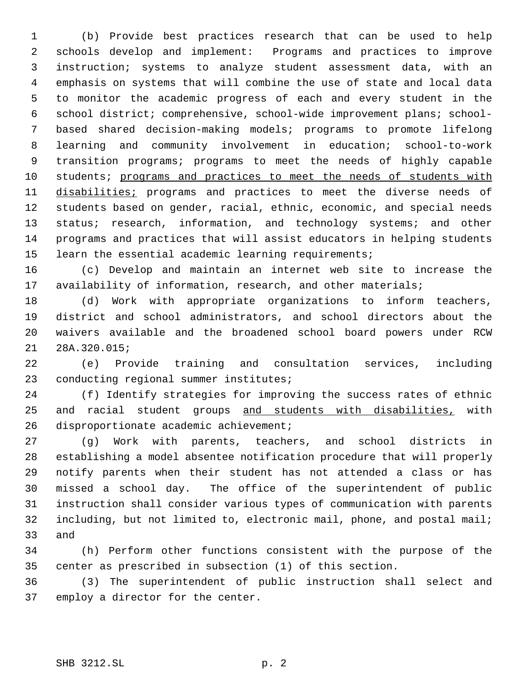(b) Provide best practices research that can be used to help schools develop and implement: Programs and practices to improve instruction; systems to analyze student assessment data, with an emphasis on systems that will combine the use of state and local data to monitor the academic progress of each and every student in the school district; comprehensive, school-wide improvement plans; school- based shared decision-making models; programs to promote lifelong learning and community involvement in education; school-to-work transition programs; programs to meet the needs of highly capable students; programs and practices to meet the needs of students with 11 disabilities; programs and practices to meet the diverse needs of students based on gender, racial, ethnic, economic, and special needs 13 status; research, information, and technology systems; and other programs and practices that will assist educators in helping students 15 learn the essential academic learning requirements;

 (c) Develop and maintain an internet web site to increase the availability of information, research, and other materials;

 (d) Work with appropriate organizations to inform teachers, district and school administrators, and school directors about the waivers available and the broadened school board powers under RCW 28A.320.015;

 (e) Provide training and consultation services, including conducting regional summer institutes;

 (f) Identify strategies for improving the success rates of ethnic 25 and racial student groups and students with disabilities, with 26 disproportionate academic achievement;

 (g) Work with parents, teachers, and school districts in establishing a model absentee notification procedure that will properly notify parents when their student has not attended a class or has missed a school day. The office of the superintendent of public instruction shall consider various types of communication with parents including, but not limited to, electronic mail, phone, and postal mail; and

 (h) Perform other functions consistent with the purpose of the center as prescribed in subsection (1) of this section.

 (3) The superintendent of public instruction shall select and employ a director for the center.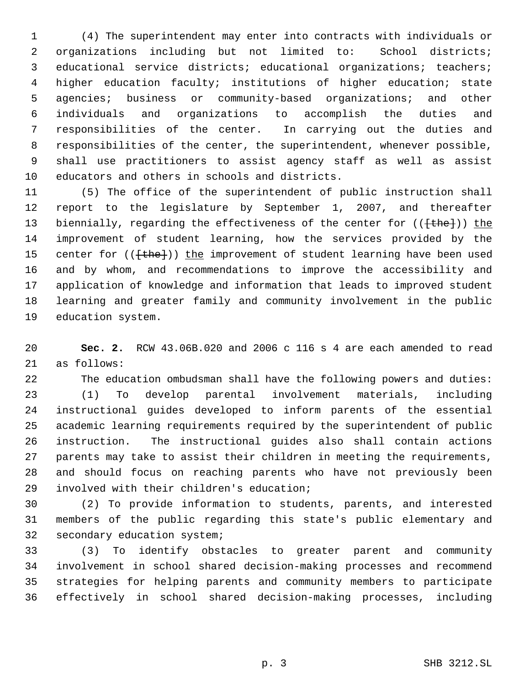(4) The superintendent may enter into contracts with individuals or organizations including but not limited to: School districts; educational service districts; educational organizations; teachers; higher education faculty; institutions of higher education; state agencies; business or community-based organizations; and other individuals and organizations to accomplish the duties and responsibilities of the center. In carrying out the duties and responsibilities of the center, the superintendent, whenever possible, shall use practitioners to assist agency staff as well as assist educators and others in schools and districts.

 (5) The office of the superintendent of public instruction shall report to the legislature by September 1, 2007, and thereafter 13 biennially, regarding the effectiveness of the center for (({the})) the improvement of student learning, how the services provided by the 15 center for (( $\{\text{the}\}\$ )) the improvement of student learning have been used and by whom, and recommendations to improve the accessibility and application of knowledge and information that leads to improved student learning and greater family and community involvement in the public education system.

 **Sec. 2.** RCW 43.06B.020 and 2006 c 116 s 4 are each amended to read as follows:

 The education ombudsman shall have the following powers and duties: (1) To develop parental involvement materials, including instructional guides developed to inform parents of the essential academic learning requirements required by the superintendent of public instruction. The instructional guides also shall contain actions parents may take to assist their children in meeting the requirements, and should focus on reaching parents who have not previously been involved with their children's education;

 (2) To provide information to students, parents, and interested members of the public regarding this state's public elementary and secondary education system;

 (3) To identify obstacles to greater parent and community involvement in school shared decision-making processes and recommend strategies for helping parents and community members to participate effectively in school shared decision-making processes, including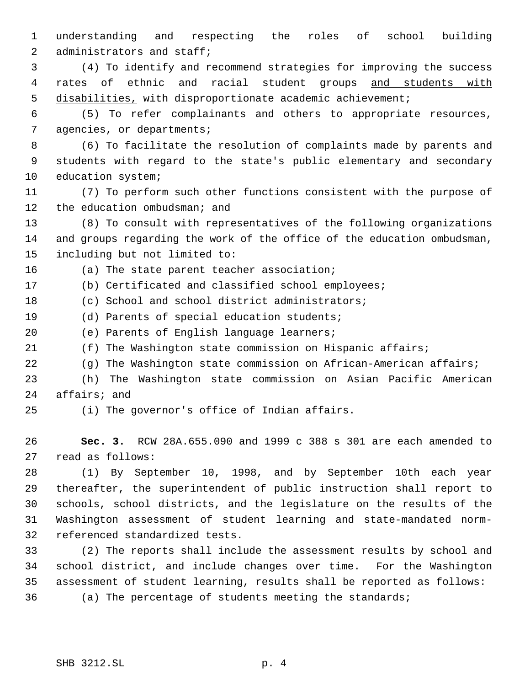understanding and respecting the roles of school building administrators and staff;

 (4) To identify and recommend strategies for improving the success rates of ethnic and racial student groups and students with disabilities, with disproportionate academic achievement;

 (5) To refer complainants and others to appropriate resources, agencies, or departments;

 (6) To facilitate the resolution of complaints made by parents and students with regard to the state's public elementary and secondary education system;

 (7) To perform such other functions consistent with the purpose of 12 the education ombudsman; and

 (8) To consult with representatives of the following organizations and groups regarding the work of the office of the education ombudsman, including but not limited to:

(a) The state parent teacher association;

(b) Certificated and classified school employees;

(c) School and school district administrators;

(d) Parents of special education students;

(e) Parents of English language learners;

(f) The Washington state commission on Hispanic affairs;

(g) The Washington state commission on African-American affairs;

 (h) The Washington state commission on Asian Pacific American affairs; and

(i) The governor's office of Indian affairs.

 **Sec. 3.** RCW 28A.655.090 and 1999 c 388 s 301 are each amended to read as follows:

 (1) By September 10, 1998, and by September 10th each year thereafter, the superintendent of public instruction shall report to schools, school districts, and the legislature on the results of the Washington assessment of student learning and state-mandated norm-referenced standardized tests.

 (2) The reports shall include the assessment results by school and school district, and include changes over time. For the Washington assessment of student learning, results shall be reported as follows: (a) The percentage of students meeting the standards;